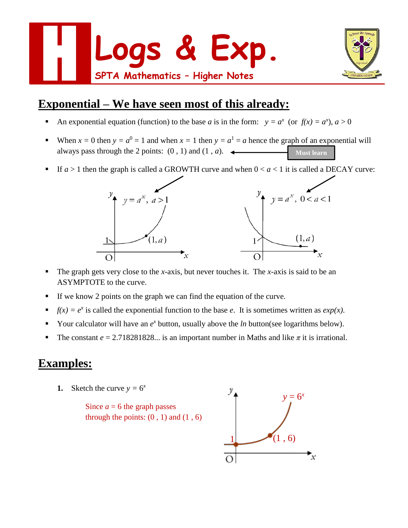



# **Exponential – We have seen most of this already:**

- An exponential equation (function) to the base *a* is in the form:  $y = a^x$  (or  $f(x) = a^x$ ),  $a > 0$
- When  $x = 0$  then  $y = a^0 = 1$  and when  $x = 1$  then  $y = a^1 = a$  hence the graph of an exponential will always pass through the 2 points:  $(0, 1)$  and  $(1, a)$ . **Must learn**
- If  $a > 1$  then the graph is called a GROWTH curve and when  $0 < a < 1$  it is called a DECAY curve:



- The graph gets very close to the *x*-axis, but never touches it. The *x*-axis is said to be an ASYMPTOTE to the curve.
- If we know 2 points on the graph we can find the equation of the curve.
- *f(x)* =  $e^x$  is called the exponential function to the base *e*. It is sometimes written as *exp(x)*.
- Your calculator will have an  $e^x$  button, usually above the *ln* button(see logarithms below).
- The constant  $e = 2.718281828...$  is an important number in Maths and like  $\pi$  it is irrational.

### **Examples:**

**1.** Sketch the curve  $y = 6^x$ 

Since  $a = 6$  the graph passes through the points:  $(0, 1)$  and  $(1, 6)$ 

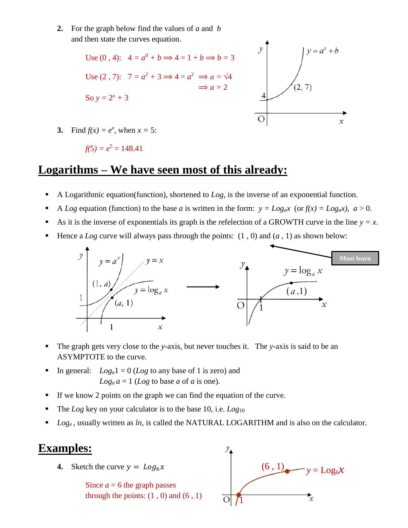**2.** For the graph below find the values of *a* and *b* and then state the curves equation.



**3.** Find  $f(x) = e^x$ , when  $x = 5$ :

$$
f(5) = e^5 = 148.41
$$

#### **Logarithms – We have seen most of this already:**

- A Logarithmic equation(function), shortened to  $Log$ , is the inverse of an exponential function.
- A *Log* equation (function) to the base *a* is written in the form:  $y = Log_a x$  (or  $f(x) = Log_a x$ ),  $a > 0$ .
- As it is the inverse of exponentials its graph is the refelection of a GROWTH curve in the line  $y = x$ .
- Hence a *Log* curve will always pass through the points:  $(1, 0)$  and  $(a, 1)$  as shown below:



- The graph gets very close to the *y*-axis, but never touches it. The *y*-axis is said to be an ASYMPTOTE to the curve.
- In general:  $Log_a 1 = 0$  (*Log* to any base of 1 is zero) and  $Log<sub>a</sub> a = 1$  (*Log* to base *a* of *a* is one).
- If we know 2 points on the graph we can find the equation of the curve.
- The *Log* key on your calculator is to the base 10, i.e. *Log*<sub>10</sub>
- *Loge* , usually written as *ln*, is called the NATURAL LOGARITHM and is also on the calculator.

#### **Examples:**

**4.** Sketch the curve  $y = Log_6 x$ 

Since  $a = 6$  the graph passes through the points:  $(1, 0)$  and  $(6, 1)$ 

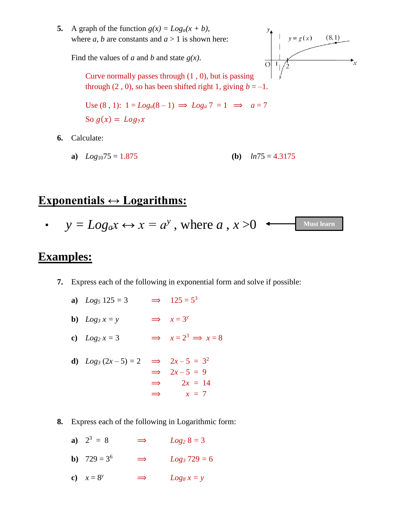**5.** A graph of the function  $g(x) = Log_a(x + b)$ , where *a*, *b* are constants and  $a > 1$  is shown here:

Find the values of *a* and *b* and state *g(x)*.



Curve normally passes through (1 , 0), but is passing through (2, 0), so has been shifted right 1, giving  $b = -1$ .

Use (8, 1): 
$$
1 = Log_a(8-1) \implies Log_a 7 = 1 \implies a = 7
$$
  
So  $g(x) = Log_7 x$ 

**6.** Calculate:

**a)** 
$$
Log_{10}75 = 1.875
$$
 **(b)**  $ln75 = 4.3175$ 

### **Exponentials ↔ Logarithms:**

.  $y = Log_a x \leftrightarrow x = a^y$  , where  $a$  ,  $x > 0$   $\longleftarrow$  Must learn

### **Examples:**

- **7.** Express each of the following in exponential form and solve if possible:
	- **a**)  $Log_5 125 = 3$   $\implies$   $125 = 5^3$
	- **b**)  $Log_3 x = y$   $\implies x = 3^y$
	- **c**)  $Log_2 x = 3$   $\implies x = 2^3 \implies x = 8$
	- **d**)  $Log_3 (2x 5) = 2 \implies 2x 5 = 3^2$  $\implies$  2*x* – 5 = 9  $\implies$  2*x* = 14  $\Rightarrow$   $x = 7$
- **8.** Express each of the following in Logarithmic form:
	- **a**)  $2^3 = 8$   $\implies$   $Log_2 8 = 3$
	- **b**)  $729 = 3^6$   $\implies$   $Log_3 729 = 6$
	- **c**)  $x = 8^y$   $\implies$   $Log_8 x = y$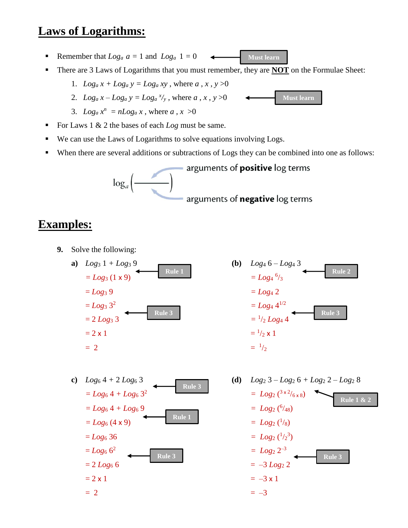### **Laws of Logarithms:**

- Remember that  $Log_a a = 1$  and  $Log_a 1 = 0$ **Must learn** $\leftarrow$
- There are 3 Laws of Logarithms that you must remember, they are **NOT** on the Formulae Sheet:

1. 
$$
Log_a x + Log_a y = Log_a xy
$$
, where  $a, x, y > 0$ 

- 2.  $Log_a x Log_a y = Log_a^{x/y}$ , where *a*, *x*, *y* >0
- 3.  $Log_a x^n = nLog_a x$ , where  $a, x > 0$
- For Laws 1 & 2 the bases of each *Log* must be same.
- We can use the Laws of Logarithms to solve equations involving Logs.
- When there are several additions or subtractions of Logs they can be combined into one as follows:



# **Examples:**

- **9.** Solve the following:
	- **a**)  $Log_3 1 + Log_3 9$  **(b)**  $Log_4 6 Log_4 3$  $= Log_3 (1 x 9)$  $=$  *Log<sub>3</sub>* 9  $=$  *Log<sub>4</sub>* 2  $= Log_3 3^2$ 2  $= Log_4 4^{1/2}$  $= 2$ *Log*<sub>3</sub> 3  $= 2 \times 1$   $=$   $\frac{1}{2}$  $= 2$   $=$   $\frac{1}{2}$ **Rule 1 Rule 3**



**Must learn**



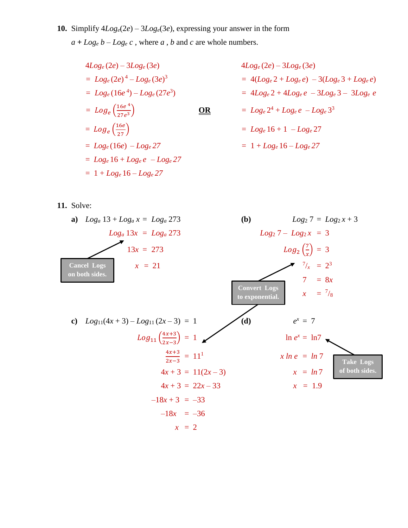**10.** Simplify  $4Log_e(2e) - 3Log_e(3e)$ , expressing your answer in the form  $a + Log_e b - Log_e c$ , where *a*, *b* and *c* are whole numbers.

*= Loge* (2*e*) 4 – *Loge* (3*e*) *= Loge* (16*e* 4 ) – *Loge* (27*e* 3 *=* ( 16 4 27 3 = ( 16 = *Loge* 16 + *Loge e* – *Loge 27* = 1 + *Loge* 16 – *Loge 27*

 $4Log_e(2e) - 3Log_e(3e)$  $= 4(Log_e 2 + Log_e e) - 3(Log_e 3 + Log_e e)$ ) *=* 4*Loge* 2 + 4*Loge e* – 3*Loge* 3 – 3*Loge e*  $\Omega$  **DR**  $= Log_e 2^4 + Log_e e - Log_e 3^3$  $= Log_e 16 + 1 - Log_e 27$  $= 1 + Log_e 16 - Log_e 27$ 

**11.** Solve:

**a)** 
$$
Log_a 13 + Log_a x = Log_a 273
$$
  
\n $Log_a 13x = Log_a 273$   
\n $13x = 273$   
\n $x = 21$   
\n**b)**  $Log_2 7 = Log_2 x + 3$   
\n $Log_2 7 - Log_2 x = 3$   
\n $Log_2 (\frac{7}{x}) = 3$   
\n $Log_2 (\frac{7}{x}) = 3$   
\n $Log_2 (\frac{7}{x}) = 3$   
\n $Log_2 (\frac{7}{x}) = 3$   
\n $Log_2 (\frac{7}{x}) = 2$   
\n $Log_2 (\frac{7}{x}) = Log_2 x = 3$   
\n $Log_2 (\frac{7}{x}) = Log_2 x = 3$   
\n $Log_2 (\frac{7}{x}) = Log_2 x = 3$   
\n $Log_2 (\frac{7}{x}) = Log_2 x = 3$   
\n $Log_2 (\frac{7}{x}) = Log_2 x = 3$   
\n $Log_2 (\frac{7}{x}) = Log_2 x = 3$   
\n $Log_2 (\frac{7}{x}) = Log_2 x = 3$   
\n $Log_2 (\frac{7}{x}) = 3$   
\n $Log_2 (\frac{7}{x}) = 3$   
\n $Log_2 (\frac{7}{x}) = 3$   
\n $Log_2 (\frac{7}{x}) = 3$   
\n $Log_2 (\frac{7}{x}) = 3$   
\n $Log_2 (\frac{7}{x}) = 3$   
\n $Log_2 (\frac{7}{x}) = 3$   
\n $Log_2 (\frac{7}{x}) = 3$   
\n $Log_2 (\frac{7}{x}) = 3$   
\n $Log_2 (\frac{7}{x}) = 3$   
\n $Log_2 (\frac{7}{x}) = 3$   
\n $Log_2 (\frac{7}{x}) = 3$   
\n $Log_2 (\frac{7}{x}) = 3$   
\n $Log_2 (\frac{7}{x}) = 3$   
\n $Log_2 (\frac{7}{x}) = 3$   
\n $Log_$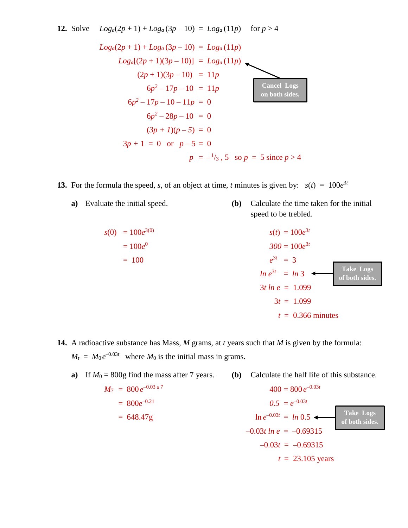12. Solve 
$$
Log_a(2p + 1) + Log_a(3p - 10) = Log_a(11p)
$$
 for  $p > 4$   
\n $Log_a(2p + 1) + Log_a(3p - 10) = Log_a(11p)$   
\n $Log_a[(2p + 1)(3p - 10)] = Log_a(11p)$   
\n $(2p + 1)(3p - 10) = 11p$   
\n $6p^2 - 17p - 10 = 11p$    
\n $6p^2 - 17p - 10 - 11p = 0$   
\n $6p^2 - 28p - 10 = 0$   
\n $(3p + 1)(p - 5) = 0$   
\n $3p + 1 = 0$  or  $p - 5 = 0$   
\n $p = -\frac{1}{3}, 5$  so  $p = 5$  since  $p > 4$ 

**13.** For the formula the speed, *s*, of an object at time, *t* minutes is given by:  $s(t) = 100e^{3t}$ 

*s*(0) = 100*e*

**a)** Evaluate the initial speed. **(b)** Calculate the time taken for the initial speed to be trebled.

$$
s(t) = 100e^{3t}
$$
  
\n
$$
= 100e^{0}
$$
  
\n
$$
s(t) = 100e^{3t}
$$
  
\n
$$
300 = 100e^{3t}
$$
  
\n
$$
e^{3t} = 3
$$
  
\n
$$
ln e^{3t} = ln 3
$$
  
\n
$$
3t ln e = 1.099
$$
  
\n
$$
3t = 1.099
$$
  
\n
$$
t = 0.366 \text{ minutes}
$$

**14.** A radioactive substance has Mass, *M* grams, at *t* years such that *M* is given by the formula:  $M_t = M_0 e^{-0.03t}$  where  $M_0$  is the initial mass in grams.

| a) | If $M_0 = 800g$ find the mass after 7 years. | Calculate the half life of this substance.<br>(b) |                                    |
|----|----------------------------------------------|---------------------------------------------------|------------------------------------|
|    | $M_7 = 800 e^{-0.03 x 7}$                    | $400 = 800 e^{-0.03t}$                            |                                    |
|    | $= 800e^{-0.21}$                             | $0.5 = e^{-0.03t}$                                | <b>Take Logs</b><br>of both sides. |
|    | $= 648.47g$                                  | $\ln e^{-0.03t} = \ln 0.5$                        |                                    |
|    |                                              | $-0.03t\ ln\ e = -0.69315$                        |                                    |
|    |                                              | $-0.03t = -0.69315$                               |                                    |
|    |                                              | $t = 23.105$ years                                |                                    |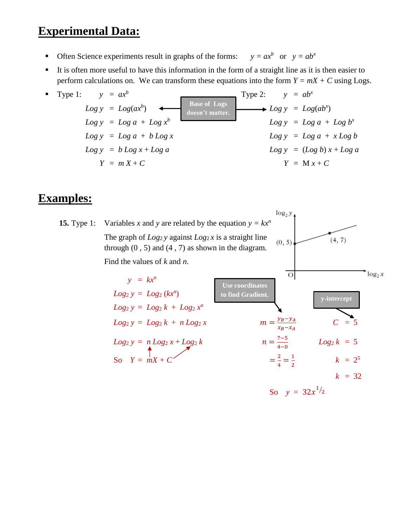# **Experimental Data:**

- Often Science experiments result in graphs of the forms:  $y = ax^b$  or  $y = ab^x$
- It is often more useful to have this information in the form of a straight line as it is then easier to perform calculations on. We can transform these equations into the form  $Y = mX + C$  using Logs.



#### **Examples:**